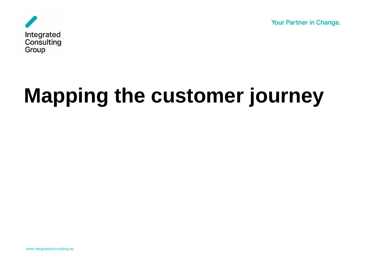**Your Partner in Change.** 



# **Mapping the customer journey**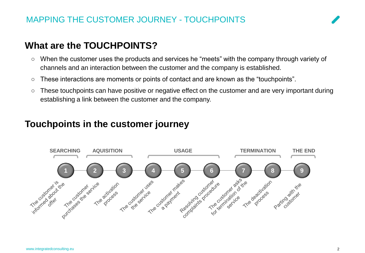# **What are the TOUCHPOINTS?**

- When the customer uses the products and services he "meets" with the company through variety of channels and an interaction between the customer and the company is established.
- These interactions are moments or points of contact and are known as the "touchpoints".
- These touchpoints can have positive or negative effect on the customer and are very important during establishing a link between the customer and the company.

#### **Touchpoints in the customer journey**

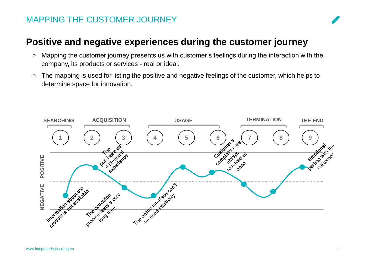#### MAPPING THE CUSTOMER JOURNEY



### **Positive and negative experiences during the customer journey**

- Mapping the customer journey presents us with customer's feelings during the interaction with the company, its products or services - real or ideal.
- The mapping is used for listing the positive and negative feelings of the customer, which helps to determine space for innovation.